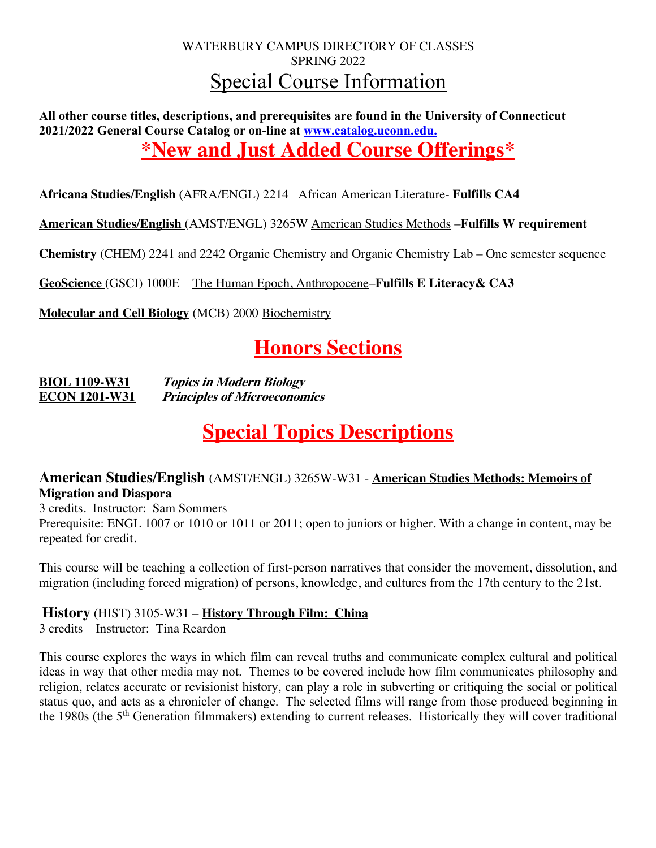## WATERBURY CAMPUS DIRECTORY OF CLASSES SPRING 2022 Special Course Information

**All other course titles, descriptions, and prerequisites are found in the University of Connecticut 2021/2022 General Course Catalog or on-line at www.catalog.uconn.edu. \*New and Just Added Course Offerings\***

**Africana Studies/English** (AFRA/ENGL) 2214 African American Literature- **Fulfills CA4**

**American Studies/English** (AMST/ENGL) 3265W American Studies Methods –**Fulfills W requirement**

**Chemistry** (CHEM) 2241 and 2242 Organic Chemistry and Organic Chemistry Lab – One semester sequence

**GeoScience** (GSCI) 1000E The Human Epoch, Anthropocene–**Fulfills E Literacy& CA3**

**Molecular and Cell Biology** (MCB) 2000 Biochemistry

# **Honors Sections**

**BIOL 1109-W31 Topics in Modern Biology ECON 1201-W31 Principles of Microeconomics**

## **Special Topics Descriptions**

#### **American Studies/English** (AMST/ENGL) 3265W-W31 - **American Studies Methods: Memoirs of Migration and Diaspora**

3 credits. Instructor: Sam Sommers Prerequisite: ENGL 1007 or 1010 or 1011 or 2011; open to juniors or higher. With a change in content, may be repeated for credit.

This course will be teaching a collection of first-person narratives that consider the movement, dissolution, and migration (including forced migration) of persons, knowledge, and cultures from the 17th century to the 21st.

#### **History** (HIST) 3105-W31 – **History Through Film: China**

3 credits Instructor: Tina Reardon

This course explores the ways in which film can reveal truths and communicate complex cultural and political ideas in way that other media may not. Themes to be covered include how film communicates philosophy and religion, relates accurate or revisionist history, can play a role in subverting or critiquing the social or political status quo, and acts as a chronicler of change. The selected films will range from those produced beginning in the 1980s (the 5th Generation filmmakers) extending to current releases. Historically they will cover traditional